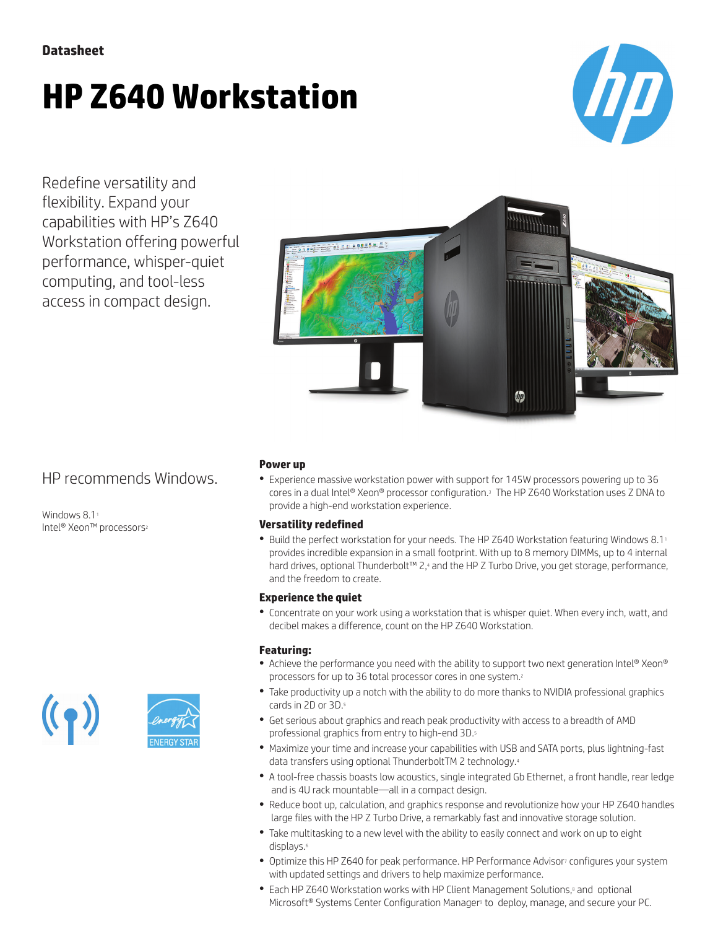# **HP Z640 Workstation**



Redefine versatility and flexibility. Expand your capabilities with HP's Z640 Workstation offering powerful performance, whisper-quiet computing, and tool-less access in compact design.



## HP recommends Windows.

Windows 8.1<sup>1</sup> Intel® Xeon™ processors<sup>2</sup>



## **Power up**

● Experience massive workstation power with support for 145W processors powering up to 36 cores in a dual Intel® Xeon® processor configuration.<sup>3</sup> The HP Z640 Workstation uses Z DNA to provide a high-end workstation experience.

### **Versatility redefined**

• Build the perfect workstation for your needs. The HP Z640 Workstation featuring Windows 8.11 provides incredible expansion in a small footprint. With up to 8 memory DIMMs, up to 4 internal hard drives, optional Thunderbolt™ 2,4 and the HP Z Turbo Drive, you get storage, performance, and the freedom to create.

### **Experience the quiet**

● Concentrate on your work using a workstation that is whisper quiet. When every inch, watt, and decibel makes a difference, count on the HP Z640 Workstation.

### **Featuring:**

- Achieve the performance you need with the ability to support two next generation Intel® Xeon® processors for up to 36 total processor cores in one system.<sup>2</sup>
- Take productivity up a notch with the ability to do more thanks to NVIDIA professional graphics cards in 2D or 3D.5
- Get serious about graphics and reach peak productivity with access to a breadth of AMD professional graphics from entry to high-end 3D.<sup>5</sup>
- Maximize your time and increase your capabilities with USB and SATA ports, plus lightning-fast data transfers using optional ThunderboltTM 2 technology.<sup>4</sup>
- A tool-free chassis boasts low acoustics, single integrated Gb Ethernet, a front handle, rear ledge and is 4U rack mountable—all in a compact design.
- Reduce boot up, calculation, and graphics response and revolutionize how your HP Z640 handles large files with the HP Z Turbo Drive, a remarkably fast and innovative storage solution.
- Take multitasking to a new level with the ability to easily connect and work on up to eight displays.<sup>6</sup>
- Optimize this HP Z640 for peak performance. HP Performance Advisor<sup>7</sup> configures your system with updated settings and drivers to help maximize performance.
- Each HP Z640 Workstation works with HP Client Management Solutions,<sup>8</sup> and optional Microsoft<sup>®</sup> Systems Center Configuration Manager<sup>9</sup> to deploy, manage, and secure your PC.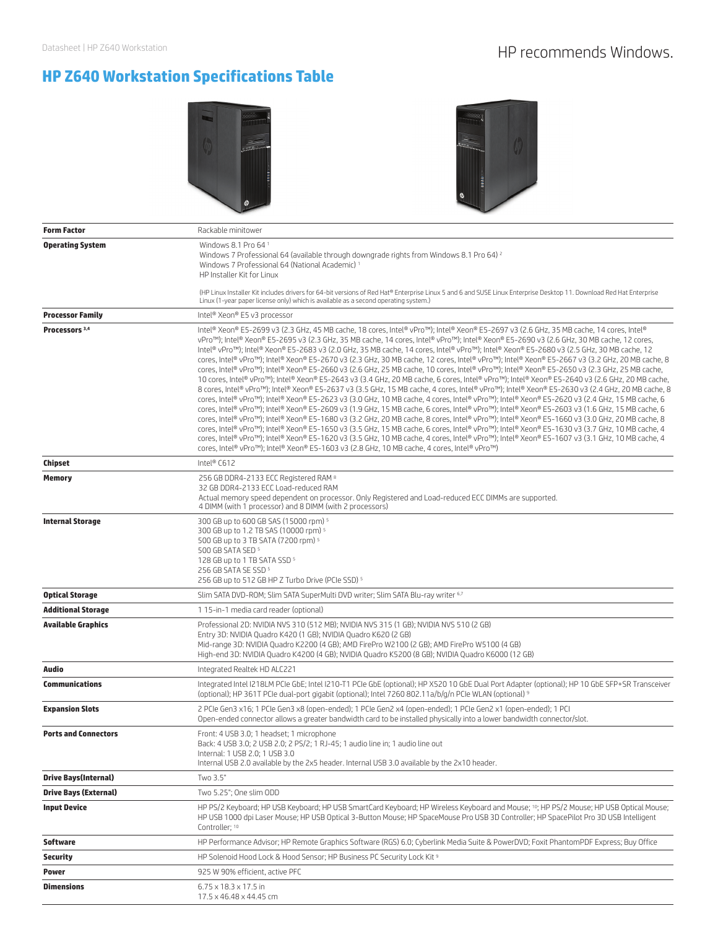## Datasheet | HP Z640 Workstation **HP recommends Windows.**

## **HP Z640 Workstation Specifications Table**





| <b>Form Factor</b>           | Rackable minitower                                                                                                                                                                                                                                                                                                                                                                                                                                                                                                                                                                                                                                                                                                                                                                                                                                                                                                                                                                                                                                                                                                                                                                                                                                                                                                                                                                                                                                                                                                                                                                                                                                                                                                                                                                                                                                                                         |  |  |
|------------------------------|--------------------------------------------------------------------------------------------------------------------------------------------------------------------------------------------------------------------------------------------------------------------------------------------------------------------------------------------------------------------------------------------------------------------------------------------------------------------------------------------------------------------------------------------------------------------------------------------------------------------------------------------------------------------------------------------------------------------------------------------------------------------------------------------------------------------------------------------------------------------------------------------------------------------------------------------------------------------------------------------------------------------------------------------------------------------------------------------------------------------------------------------------------------------------------------------------------------------------------------------------------------------------------------------------------------------------------------------------------------------------------------------------------------------------------------------------------------------------------------------------------------------------------------------------------------------------------------------------------------------------------------------------------------------------------------------------------------------------------------------------------------------------------------------------------------------------------------------------------------------------------------------|--|--|
| <b>Operating System</b>      | Windows 8.1 Pro 64 1<br>Windows 7 Professional 64 (available through downgrade rights from Windows 8.1 Pro 64) <sup>2</sup><br>Windows 7 Professional 64 (National Academic) 1<br>HP Installer Kit for Linux                                                                                                                                                                                                                                                                                                                                                                                                                                                                                                                                                                                                                                                                                                                                                                                                                                                                                                                                                                                                                                                                                                                                                                                                                                                                                                                                                                                                                                                                                                                                                                                                                                                                               |  |  |
|                              | (HP Linux Installer Kit includes drivers for 64-bit versions of Red Hat® Enterprise Linux 5 and 6 and SUSE Linux Enterprise Desktop 11. Download Red Hat Enterprise<br>Linux (1-year paper license only) which is available as a second operating system.)                                                                                                                                                                                                                                                                                                                                                                                                                                                                                                                                                                                                                                                                                                                                                                                                                                                                                                                                                                                                                                                                                                                                                                                                                                                                                                                                                                                                                                                                                                                                                                                                                                 |  |  |
| <b>Processor Family</b>      | Intel® Xeon® E5 v3 processor                                                                                                                                                                                                                                                                                                                                                                                                                                                                                                                                                                                                                                                                                                                                                                                                                                                                                                                                                                                                                                                                                                                                                                                                                                                                                                                                                                                                                                                                                                                                                                                                                                                                                                                                                                                                                                                               |  |  |
| Processors <sup>3,4</sup>    | Intel® Xeon® E5-2699 v3 (2.3 GHz, 45 MB cache, 18 cores, Intel® vPro™); Intel® Xeon® E5-2697 v3 (2.6 GHz, 35 MB cache, 14 cores, Intel®<br>vPro™); Intel® Xeon® E5-2695 v3 (2.3 GHz, 35 MB cache, 14 cores, Intel® vPro™); Intel® Xeon® E5-2690 v3 (2.6 GHz, 30 MB cache, 12 cores,<br>Intel® vPro™); Intel® Xeon® E5-2683 v3 (2.0 GHz, 35 MB cache, 14 cores, Intel® vPro™); Intel® Xeon® E5-2680 v3 (2.5 GHz, 30 MB cache, 12<br>cores, Intel® vPro™); Intel® Xeon® E5-2670 v3 (2.3 GHz, 30 MB cache, 12 cores, Intel® vPro™); Intel® Xeon® E5-2667 v3 (3.2 GHz, 20 MB cache, 8<br>cores, Intel® vPro™); Intel® Xeon® E5-2660 v3 (2.6 GHz, 25 MB cache, 10 cores, Intel® vPro™); Intel® Xeon® E5-2650 v3 (2.3 GHz, 25 MB cache,<br>10 cores, Intel® vPro™); Intel® Xeon® E5-2643 v3 (3.4 GHz, 20 MB cache, 6 cores, Intel® vPro™); Intel® Xeon® E5-2640 v3 (2.6 GHz, 20 MB cache,<br>8 cores, Intel® vPro™); Intel® Xeon® E5-2637 v3 (3.5 GHz, 15 MB cache, 4 cores, Intel® vPro™); Intel® Xeon® E5-2630 v3 (2.4 GHz, 20 MB cache, 8<br>cores, Intel® vPro™); Intel® Xeon® E5-2623 v3 (3.0 GHz, 10 MB cache, 4 cores, Intel® vPro™); Intel® Xeon® E5-2620 v3 (2.4 GHz, 15 MB cache, 6<br>cores, Intel® vPro™); Intel® Xeon® E5-2609 v3 (1.9 GHz, 15 MB cache, 6 cores, Intel® vPro™); Intel® Xeon® E5-2603 v3 (1.6 GHz, 15 MB cache, 6<br>cores, Intel® vPro™); Intel® Xeon® E5-1680 v3 (3.2 GHz, 20 MB cache, 8 cores, Intel® vPro™); Intel® Xeon® E5-1660 v3 (3.0 GHz, 20 MB cache, 8<br>cores, Intel® vPro™); Intel® Xeon® E5-1650 v3 (3.5 GHz, 15 MB cache, 6 cores, Intel® vPro™); Intel® Xeon® E5-1630 v3 (3.7 GHz, 10 MB cache, 4<br>cores, Intel® vPro™); Intel® Xeon® E5-1620 v3 (3.5 GHz, 10 MB cache, 4 cores, Intel® vPro™); Intel® Xeon® E5-1607 v3 (3.1 GHz, 10 MB cache, 4<br>cores, Intel® vPro™); Intel® Xeon® E5-1603 v3 (2.8 GHz, 10 MB cache, 4 cores, Intel® vPro™) |  |  |
| Chipset                      | Intel® C612                                                                                                                                                                                                                                                                                                                                                                                                                                                                                                                                                                                                                                                                                                                                                                                                                                                                                                                                                                                                                                                                                                                                                                                                                                                                                                                                                                                                                                                                                                                                                                                                                                                                                                                                                                                                                                                                                |  |  |
| <b>Memory</b>                | 256 GB DDR4-2133 ECC Registered RAM 8<br>32 GB DDR4-2133 ECC Load-reduced RAM<br>Actual memory speed dependent on processor. Only Registered and Load-reduced ECC DIMMs are supported.<br>4 DIMM (with 1 processor) and 8 DIMM (with 2 processors)                                                                                                                                                                                                                                                                                                                                                                                                                                                                                                                                                                                                                                                                                                                                                                                                                                                                                                                                                                                                                                                                                                                                                                                                                                                                                                                                                                                                                                                                                                                                                                                                                                         |  |  |
| <b>Internal Storage</b>      | 300 GB up to 600 GB SAS (15000 rpm) 5<br>300 GB up to 1.2 TB SAS (10000 rpm) 5<br>500 GB up to 3 TB SATA (7200 rpm) 5<br>500 GB SATA SED 5<br>128 GB up to 1 TB SATA SSD 5<br>256 GB SATA SE SSD 5<br>256 GB up to 512 GB HP Z Turbo Drive (PCIe SSD) <sup>5</sup>                                                                                                                                                                                                                                                                                                                                                                                                                                                                                                                                                                                                                                                                                                                                                                                                                                                                                                                                                                                                                                                                                                                                                                                                                                                                                                                                                                                                                                                                                                                                                                                                                         |  |  |
| <b>Optical Storage</b>       | Slim SATA DVD-ROM; Slim SATA SuperMulti DVD writer; Slim SATA Blu-ray writer 6,7                                                                                                                                                                                                                                                                                                                                                                                                                                                                                                                                                                                                                                                                                                                                                                                                                                                                                                                                                                                                                                                                                                                                                                                                                                                                                                                                                                                                                                                                                                                                                                                                                                                                                                                                                                                                           |  |  |
| <b>Additional Storage</b>    | 115-in-1 media card reader (optional)                                                                                                                                                                                                                                                                                                                                                                                                                                                                                                                                                                                                                                                                                                                                                                                                                                                                                                                                                                                                                                                                                                                                                                                                                                                                                                                                                                                                                                                                                                                                                                                                                                                                                                                                                                                                                                                      |  |  |
| <b>Available Graphics</b>    | Professional 2D: NVIDIA NVS 310 (512 MB); NVIDIA NVS 315 (1 GB); NVIDIA NVS 510 (2 GB)<br>Entry 3D: NVIDIA Quadro K420 (1 GB); NVIDIA Quadro K620 (2 GB)<br>Mid-range 3D: NVIDIA Quadro K2200 (4 GB); AMD FirePro W2100 (2 GB); AMD FirePro W5100 (4 GB)<br>High-end 3D: NVIDIA Quadro K4200 (4 GB); NVIDIA Quadro K5200 (8 GB); NVIDIA Quadro K6000 (12 GB)                                                                                                                                                                                                                                                                                                                                                                                                                                                                                                                                                                                                                                                                                                                                                                                                                                                                                                                                                                                                                                                                                                                                                                                                                                                                                                                                                                                                                                                                                                                               |  |  |
| Audio                        | Integrated Realtek HD ALC221                                                                                                                                                                                                                                                                                                                                                                                                                                                                                                                                                                                                                                                                                                                                                                                                                                                                                                                                                                                                                                                                                                                                                                                                                                                                                                                                                                                                                                                                                                                                                                                                                                                                                                                                                                                                                                                               |  |  |
| <b>Communications</b>        | Integrated Intel I218LM PCIe GbE; Intel I210-T1 PCIe GbE (optional); HP X520 10 GbE Dual Port Adapter (optional); HP 10 GbE SFP+SR Transceiver<br>(optional); HP 361T PCle dual-port gigabit (optional); Intel 7260 802.11a/b/g/n PCle WLAN (optional) 9                                                                                                                                                                                                                                                                                                                                                                                                                                                                                                                                                                                                                                                                                                                                                                                                                                                                                                                                                                                                                                                                                                                                                                                                                                                                                                                                                                                                                                                                                                                                                                                                                                   |  |  |
| <b>Expansion Slots</b>       | 2 PCIe Gen3 x16: 1 PCIe Gen3 x8 (open-ended): 1 PCIe Gen2 x4 (open-ended): 1 PCIe Gen2 x1 (open-ended): 1 PCI<br>Open-ended connector allows a greater bandwidth card to be installed physically into a lower bandwidth connector/slot.                                                                                                                                                                                                                                                                                                                                                                                                                                                                                                                                                                                                                                                                                                                                                                                                                                                                                                                                                                                                                                                                                                                                                                                                                                                                                                                                                                                                                                                                                                                                                                                                                                                    |  |  |
| <b>Ports and Connectors</b>  | Front: 4 USB 3.0; 1 headset; 1 microphone<br>Back: 4 USB 3.0; 2 USB 2.0; 2 PS/2; 1 RJ-45; 1 audio line in; 1 audio line out<br>Internal: 1 USB 2.0; 1 USB 3.0<br>Internal USB 2.0 available by the 2x5 header. Internal USB 3.0 available by the 2x10 header.                                                                                                                                                                                                                                                                                                                                                                                                                                                                                                                                                                                                                                                                                                                                                                                                                                                                                                                                                                                                                                                                                                                                                                                                                                                                                                                                                                                                                                                                                                                                                                                                                              |  |  |
| <b>Drive Bays(Internal)</b>  | Two 3.5"                                                                                                                                                                                                                                                                                                                                                                                                                                                                                                                                                                                                                                                                                                                                                                                                                                                                                                                                                                                                                                                                                                                                                                                                                                                                                                                                                                                                                                                                                                                                                                                                                                                                                                                                                                                                                                                                                   |  |  |
| <b>Drive Bays (External)</b> | Two 5.25"; One slim ODD                                                                                                                                                                                                                                                                                                                                                                                                                                                                                                                                                                                                                                                                                                                                                                                                                                                                                                                                                                                                                                                                                                                                                                                                                                                                                                                                                                                                                                                                                                                                                                                                                                                                                                                                                                                                                                                                    |  |  |
| <b>Input Device</b>          | HP PS/2 Keyboard; HP USB Keyboard; HP USB SmartCard Keyboard; HP Wireless Keyboard and Mouse; <sup>10</sup> ; HP PS/2 Mouse; HP USB Optical Mouse;<br>HP USB 1000 dpi Laser Mouse; HP USB Optical 3-Button Mouse; HP SpaceMouse Pro USB 3D Controller; HP SpacePilot Pro 3D USB Intelligent<br>Controller; 10                                                                                                                                                                                                                                                                                                                                                                                                                                                                                                                                                                                                                                                                                                                                                                                                                                                                                                                                                                                                                                                                                                                                                                                                                                                                                                                                                                                                                                                                                                                                                                              |  |  |
| <b>Software</b>              | HP Performance Advisor; HP Remote Graphics Software (RGS) 6.0; Cyberlink Media Suite & PowerDVD; Foxit PhantomPDF Express; Buy Office                                                                                                                                                                                                                                                                                                                                                                                                                                                                                                                                                                                                                                                                                                                                                                                                                                                                                                                                                                                                                                                                                                                                                                                                                                                                                                                                                                                                                                                                                                                                                                                                                                                                                                                                                      |  |  |
| <b>Security</b>              | HP Solenoid Hood Lock & Hood Sensor; HP Business PC Security Lock Kit 9                                                                                                                                                                                                                                                                                                                                                                                                                                                                                                                                                                                                                                                                                                                                                                                                                                                                                                                                                                                                                                                                                                                                                                                                                                                                                                                                                                                                                                                                                                                                                                                                                                                                                                                                                                                                                    |  |  |
| Power                        | 925 W 90% efficient, active PFC                                                                                                                                                                                                                                                                                                                                                                                                                                                                                                                                                                                                                                                                                                                                                                                                                                                                                                                                                                                                                                                                                                                                                                                                                                                                                                                                                                                                                                                                                                                                                                                                                                                                                                                                                                                                                                                            |  |  |
| <b>Dimensions</b>            | $6.75 \times 18.3 \times 17.5$ in<br>17.5 x 46.48 x 44.45 cm                                                                                                                                                                                                                                                                                                                                                                                                                                                                                                                                                                                                                                                                                                                                                                                                                                                                                                                                                                                                                                                                                                                                                                                                                                                                                                                                                                                                                                                                                                                                                                                                                                                                                                                                                                                                                               |  |  |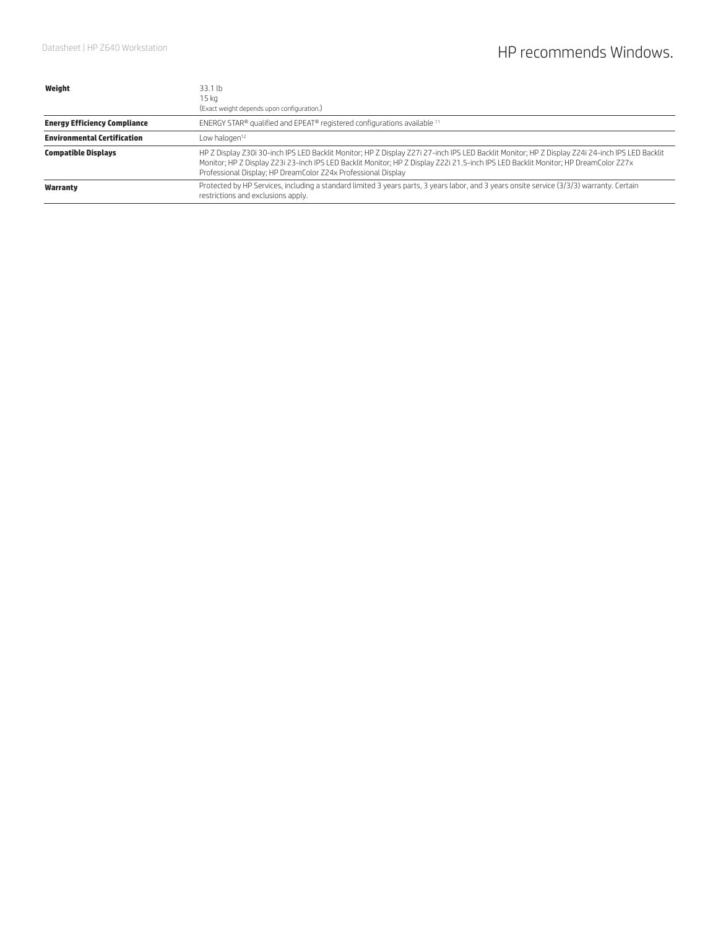| Weight                              | 33.1 lb                                                                                                                                                                                                                                                                                                                                                 |  |  |
|-------------------------------------|---------------------------------------------------------------------------------------------------------------------------------------------------------------------------------------------------------------------------------------------------------------------------------------------------------------------------------------------------------|--|--|
|                                     | 15 kg                                                                                                                                                                                                                                                                                                                                                   |  |  |
|                                     | (Exact weight depends upon configuration.)                                                                                                                                                                                                                                                                                                              |  |  |
| <b>Energy Efficiency Compliance</b> | ENERGY STAR® qualified and EPEAT® registered configurations available 11                                                                                                                                                                                                                                                                                |  |  |
| <b>Environmental Certification</b>  | Low halogen <sup>12</sup>                                                                                                                                                                                                                                                                                                                               |  |  |
| <b>Compatible Displays</b>          | HP Z Display Z30i 30-inch IPS LED Backlit Monitor; HP Z Display Z27i 27-inch IPS LED Backlit Monitor; HP Z Display Z24i 24-inch IPS LED Backlit<br>Monitor; HP Z Display Z23i 23-inch IPS LED Backlit Monitor; HP Z Display Z22i 21.5-inch IPS LED Backlit Monitor; HP DreamColor Z27x<br>Professional Display; HP DreamColor Z24x Professional Display |  |  |
| Warranty                            | Protected by HP Services, including a standard limited 3 years parts, 3 years labor, and 3 years onsite service (3/3/3) warranty. Certain<br>restrictions and exclusions apply.                                                                                                                                                                         |  |  |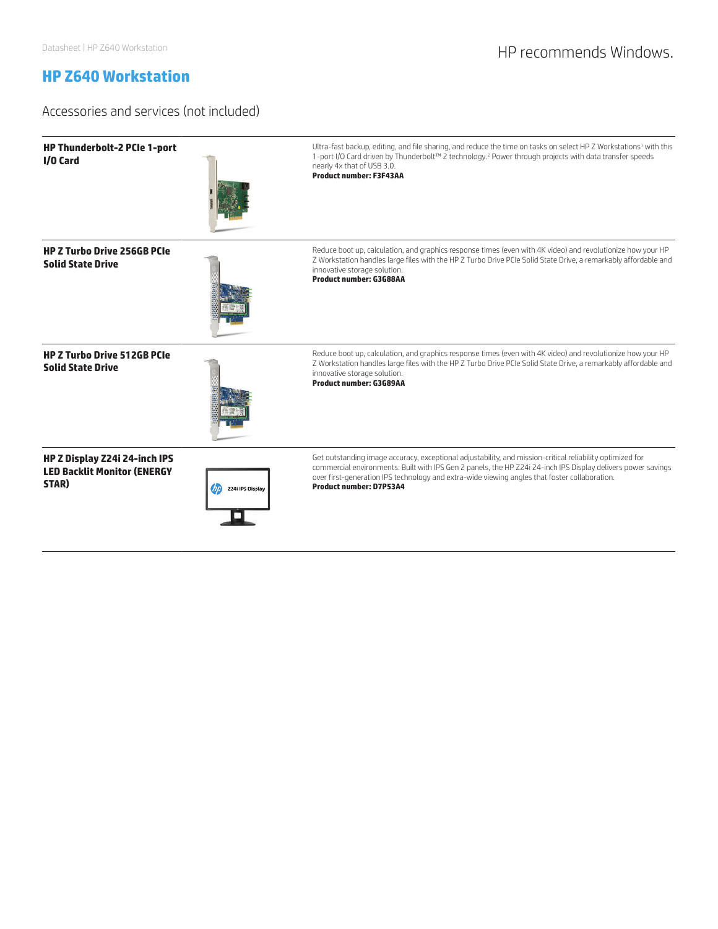## Datasheet | HP Z640 Workstation **HP recommends Windows.**

## **HP Z640 Workstation**

## Accessories and services (not included)

| HP Thunderbolt-2 PCIe 1-port<br>I/O Card                                     |                  | Ultra-fast backup, editing, and file sharing, and reduce the time on tasks on select HP Z Workstations <sup>1</sup> with this<br>1-port I/O Card driven by Thunderbolt™ 2 technology. <sup>2</sup> Power through projects with data transfer speeds<br>nearly 4x that of USB 3.0.<br><b>Product number: F3F43AA</b>                                   |
|------------------------------------------------------------------------------|------------------|-------------------------------------------------------------------------------------------------------------------------------------------------------------------------------------------------------------------------------------------------------------------------------------------------------------------------------------------------------|
| <b>HP Z Turbo Drive 256GB PCIe</b><br><b>Solid State Drive</b>               |                  | Reduce boot up, calculation, and graphics response times (even with 4K video) and revolutionize how your HP<br>Z Workstation handles large files with the HP Z Turbo Drive PCIe Solid State Drive, a remarkably affordable and<br>innovative storage solution.<br>Product number: G3G88AA                                                             |
| <b>HP Z Turbo Drive 512GB PCIe</b><br><b>Solid State Drive</b>               |                  | Reduce boot up, calculation, and graphics response times (even with 4K video) and revolutionize how your HP<br>Z Workstation handles large files with the HP Z Turbo Drive PCIe Solid State Drive, a remarkably affordable and<br>innovative storage solution.<br>Product number: G3G89AA                                                             |
| HP Z Display Z24i 24-inch IPS<br><b>LED Backlit Monitor (ENERGY</b><br>STAR) | Z24i IPS Display | Get outstanding image accuracy, exceptional adjustability, and mission-critical reliability optimized for<br>commercial environments. Built with IPS Gen 2 panels, the HP Z24i 24-inch IPS Display delivers power savings<br>over first-generation IPS technology and extra-wide viewing angles that foster collaboration.<br>Product number: D7P53A4 |